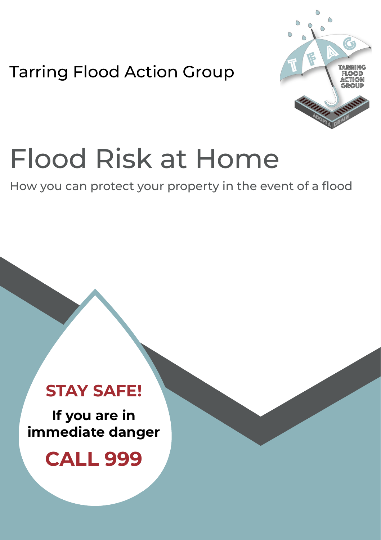Tarring Flood Action Group



# Flood Risk at Home

How you can protect your property in the event of a flood

### **STAY SAFE!**

**If you are in immediate danger**

**CALL 999**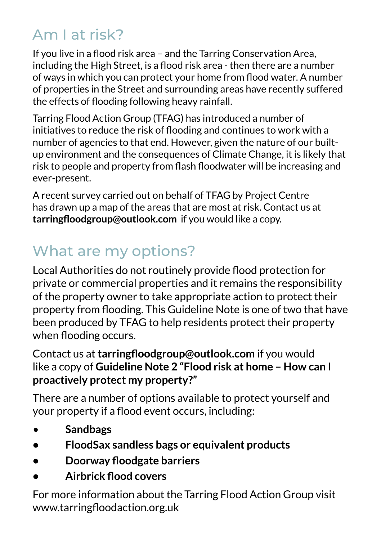### Am I at risk?

If you live in a flood risk area – and the Tarring Conservation Area, including the High Street, is a flood risk area - then there are a number of ways in which you can protect your home from flood water. A number of properties in the Street and surrounding areas have recently suffered the effects of flooding following heavy rainfall.

Tarring Flood Action Group (TFAG) has introduced a number of initiatives to reduce the risk of flooding and continues to work with a number of agencies to that end. However, given the nature of our builtup environment and the consequences of Climate Change, it is likely that risk to people and property from flash floodwater will be increasing and ever-present.

A recent survey carried out on behalf of TFAG by Project Centre has drawn up a map of the areas that are most at risk. Contact us at **tarringfloodgroup@outlook.com** if you would like a copy.

### What are my options?

Local Authorities do not routinely provide flood protection for private or commercial properties and it remains the responsibility of the property owner to take appropriate action to protect their property from flooding. This Guideline Note is one of two that have been produced by TFAG to help residents protect their property when flooding occurs.

### Contact us at **tarringfloodgroup@outlook.com** if you would like a copy of **Guideline Note 2 "Flood risk at home – How can I proactively protect my property?"**

There are a number of options available to protect yourself and your property if a flood event occurs, including:

- **Sandbags**
- **• FloodSax sandless bags or equivalent products**
- **• Doorway floodgate barriers**
- **• Airbrick flood covers**

For more information about the Tarring Flood Action Group visit www.tarringfloodaction.org.uk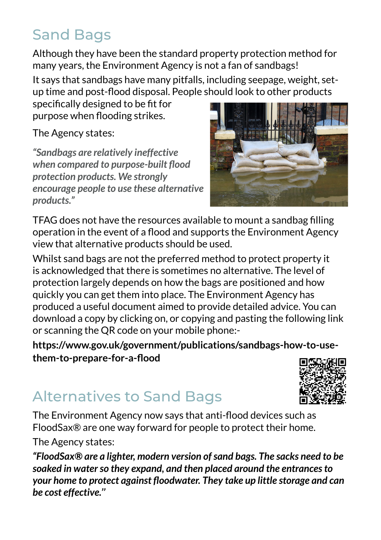### **Sand Bags**

Although they have been the standard property protection method for many years, the Environment Agency is not a fan of sandbags!

It says that sandbags have many pitfalls, including seepage, weight, setup time and post-flood disposal. People should look to other products

specifically designed to be fit for purpose when flooding strikes.

The Agency states:

*"Sandbags are relatively ineffective when compared to purpose-built flood protection products. We strongly encourage people to use these alternative products."* 



TFAG does not have the resources available to mount a sandbag filling operation in the event of a flood and supports the Environment Agency view that alternative products should be used.

Whilst sand bags are not the preferred method to protect property it is acknowledged that there is sometimes no alternative. The level of protection largely depends on how the bags are positioned and how quickly you can get them into place. The Environment Agency has produced a useful document aimed to provide detailed advice. You can download a copy by clicking on, or copying and pasting the following link or scanning the QR code on your mobile phone:-

**https://www.gov.uk/government/publications/sandbags-how-to-usethem-to-prepare-for-a-flood**

### Alternatives to Sand Bags

The Environment Agency now says that anti-flood devices such as FloodSax® are one way forward for people to protect their home.

The Agency states:

*"FloodSax® are a lighter, modern version of sand bags. The sacks need to be soaked in water so they expand, and then placed around the entrances to your home to protect against floodwater. They take up little storage and can be cost effective.''*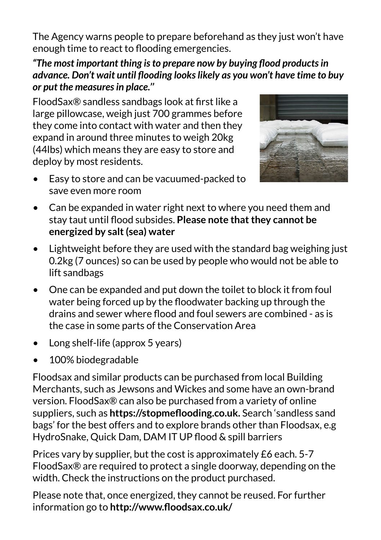The Agency warns people to prepare beforehand as they just won't have enough time to react to flooding emergencies.

#### *"The most important thing is to prepare now by buying flood products in advance. Don't wait until flooding looks likely as you won't have time to buy or put the measures in place.''*

FloodSax® sandless sandbags look at first like a large pillowcase, weigh just 700 grammes before they come into contact with water and then they expand in around three minutes to weigh 20kg (44lbs) which means they are easy to store and deploy by most residents.



- Easy to store and can be vacuumed-packed to save even more room
- Can be expanded in water right next to where you need them and stay taut until flood subsides. **Please note that they cannot be energized by salt (sea) water**
- Lightweight before they are used with the standard bag weighing just 0.2kg (7 ounces) so can be used by people who would not be able to lift sandbags
- One can be expanded and put down the toilet to block it from foul water being forced up by the floodwater backing up through the drains and sewer where flood and foul sewers are combined - as is the case in some parts of the Conservation Area
- Long shelf-life (approx 5 years)
- 100% biodegradable

Floodsax and similar products can be purchased from local Building Merchants, such as Jewsons and Wickes and some have an own-brand version. FloodSax® can also be purchased from a variety of online suppliers, such as **https://stopmeflooding.co.uk.** Search 'sandless sand bags' for the best offers and to explore brands other than Floodsax, e.g HydroSnake, Quick Dam, DAM IT UP flood & spill barriers

Prices vary by supplier, but the cost is approximately £6 each. 5-7 FloodSax® are required to protect a single doorway, depending on the width. Check the instructions on the product purchased.

Please note that, once energized, they cannot be reused. For further information go to **http://www.floodsax.co.uk/**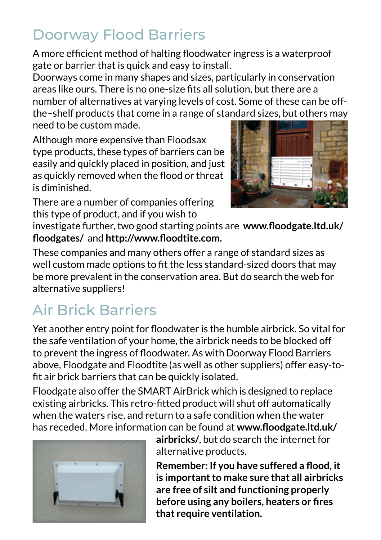### Doorway Flood Barriers

A more efficient method of halting floodwater ingress is a waterproof gate or barrier that is quick and easy to install.

Doorways come in many shapes and sizes, particularly in conservation areas like ours. There is no one-size fits all solution, but there are a number of alternatives at varying levels of cost. Some of these can be offthe–shelf products that come in a range of standard sizes, but others may need to be custom made.

Although more expensive than Floodsax type products, these types of barriers can be easily and quickly placed in position, and just as quickly removed when the flood or threat is diminished.



There are a number of companies offering this type of product, and if you wish to

investigate further, two good starting points are **www.floodgate.ltd.uk/ floodgates/** and **http://www.floodtite.com.**

These companies and many others offer a range of standard sizes as well custom made options to fit the less standard-sized doors that may be more prevalent in the conservation area. But do search the web for alternative suppliers!

## Air Brick Barriers

Yet another entry point for floodwater is the humble airbrick. So vital for the safe ventilation of your home, the airbrick needs to be blocked off to prevent the ingress of floodwater. As with Doorway Flood Barriers above, Floodgate and Floodtite (as well as other suppliers) offer easy-tofit air brick barriers that can be quickly isolated.

Floodgate also offer the SMART AirBrick which is designed to replace existing airbricks. This retro-fitted product will shut off automatically when the waters rise, and return to a safe condition when the water has receded. More information can be found at **www.floodgate.ltd.uk/**



**airbricks/**, but do search the internet for alternative products.

**Remember: If you have suffered a flood, it is important to make sure that all airbricks are free of silt and functioning properly before using any boilers, heaters or fires that require ventilation.**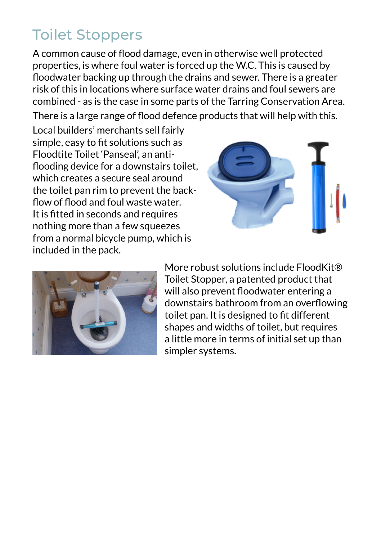### Toilet Stoppers

A common cause of flood damage, even in otherwise well protected properties, is where foul water is forced up the W.C. This is caused by floodwater backing up through the drains and sewer. There is a greater risk of this in locations where surface water drains and foul sewers are combined - as is the case in some parts of the Tarring Conservation Area. There is a large range of flood defence products that will help with this.

Local builders' merchants sell fairly simple, easy to fit solutions such as Floodtite Toilet 'Panseal', an antiflooding device for a downstairs toilet, which creates a secure seal around the toilet pan rim to prevent the backflow of flood and foul waste water. It is fitted in seconds and requires nothing more than a few squeezes from a normal bicycle pump, which is included in the pack.





More robust solutions include FloodKit® Toilet Stopper, a patented product that will also prevent floodwater entering a downstairs bathroom from an overflowing toilet pan. It is designed to fit different shapes and widths of toilet, but requires a little more in terms of initial set up than simpler systems.